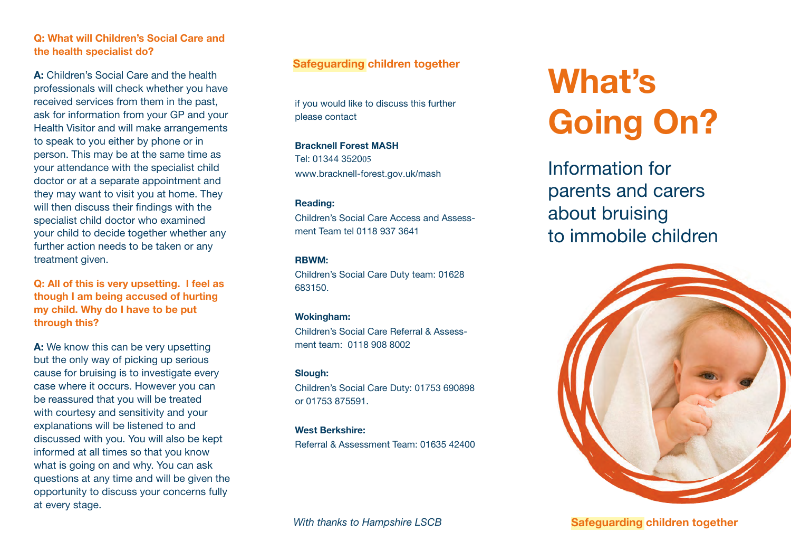## **Q: What will Children's Social Care and the health specialist do?**

**A:** Children's Social Care and the health professionals will check whether you have received services from them in the past, ask for information from your GP and your Health Visitor and will make arrangements to speak to you either by phone or in person. This may be at the same time as your attendance with the specialist child doctor or at a separate appointment and they may want to visit you at home. They will then discuss their findings with the specialist child doctor who examined your child to decide together whether any further action needs to be taken or any treatment given.

**Q: All of this is very upsetting. I feel as though I am being accused of hurting my child. Why do I have to be put through this?**

**A:** We know this can be very upsetting but the only way of picking up serious cause for bruising is to investigate every case where it occurs. However you can be reassured that you will be treated with courtesy and sensitivity and your explanations will be listened to and discussed with you. You will also be kept informed at all times so that you know what is going on and why. You can ask questions at any time and will be given the opportunity to discuss your concerns fully at every stage.

# **Safeguarding children together**

if you would like to discuss this further please contact

**Bracknell Forest MASH** Tel: 01344 352005 www.bracknell-forest.gov.uk/mash

#### **Reading:**

Children's Social Care Access and Assessment Team tel 0118 937 3641

## **RBWM:**

Children's Social Care Duty team: 01628 683150.

#### **Wokingham:**

Children's Social Care Referral & Assessment team: 0118 908 8002

## **Slough:**

Children's Social Care Duty: 01753 690898 or 01753 875591.

## **West Berkshire:**

Referral & Assessment Team: 01635 42400

# **What's Going On?**

Information for parents and carers about bruising to immobile children